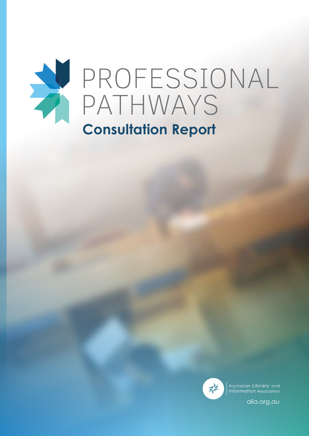

# **Consultation Report**



Australian Library and Information Association

[alia.org.au](http://alia.org.au)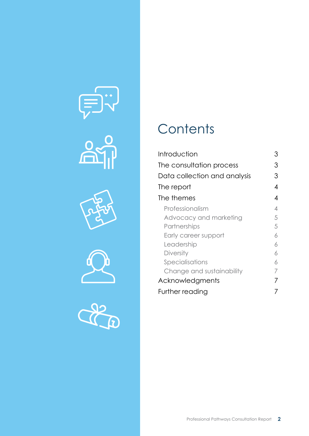









# **Contents**

| Introduction                 | З              |
|------------------------------|----------------|
| The consultation process     | 3              |
| Data collection and analysis | З              |
| The report                   | 4              |
| The themes                   | $\overline{4}$ |
| Professionalism              | $\overline{4}$ |
| Advocacy and marketing       | 5              |
| Partnerships                 | 5              |
| Early career support         | 6              |
| Leadership                   | 6              |
| <b>Diversity</b>             | 6              |
| Specialisations              | 6              |
| Change and sustainability    | 7              |
| Acknowledgments              | 7              |
| Further reading              |                |
|                              |                |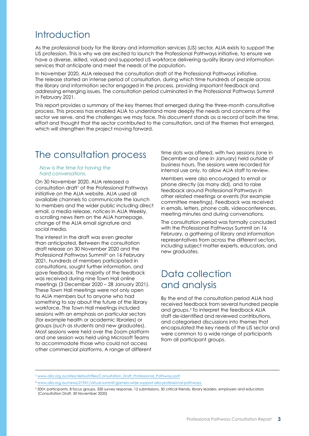# <span id="page-2-0"></span>Introduction

As the professional body for the library and information services (LIS) sector, ALIA exists to support the LIS profession. This is why we are excited to launch the Professional Pathways initiative, to ensure we have a diverse, skilled, valued and supported LIS workforce delivering quality library and information services that anticipate and meet the needs of the population.

In November 2020, ALIA released the consultation draft of the Professional Pathways initiative. The release started an intense period of consultation, during which time hundreds of people across the library and information sector engaged in the process, providing important feedback and addressing emerging issues. The consultation period culminated in the Professional Pathways Summit in February 2021.

This report provides a summary of the key themes that emerged during the three-month consultative process. This process has enabled ALIA to understand more deeply the needs and concerns of the sector we serve, and the challenges we may face. This document stands as a record of both the time, effort and thought that the sector contributed to the consultation, and of the themes that emerged, which will strengthen the project moving forward.

# The consultation process

#### *Now is the time for having the hard conversations.*

On 30 November 2020, ALIA released a consultation draft<sup>1</sup> of the Professional Pathways initiative on the ALIA website. ALIA used all available channels to communicate the launch to members and the wider public including direct email, a media release, notices in ALIA Weekly, a scrolling news item on the ALIA homepage, change of the ALIA email signature and social media.

The interest in the draft was even greater than anticipated. Between the consultation draft release on 30 November 2020 and the Professional Pathways Summit<sup>2</sup> on 16 February 2021, hundreds of members participated in consultations, sought further information, and gave feedback. The majority of the feedback was received during nine Town Hall online meetings (3 December 2020 – 28 January 2021). These Town Hall meetings were not only open to ALIA members but to anyone who had something to say about the future of the library workforce. The Town Hall meetings included sessions with an emphasis on particular sectors (for example health or academic libraries) or groups (such as students and new graduates). Most sessions were held over the Zoom platform and one session was held using Microsoft Teams to accommodate those who could not access other commercial platforms. A range of different time slots was offered, with two sessions (one in December and one in January) held outside of business hours. The sessions were recorded for internal use only, to allow ALIA staff to review.

Members were also encouraged to email or phone directly (as many did), and to raise feedback around Professional Pathways in other related meetings or events (for example committee meetings). Feedback was received in emails, letters, phone calls, videoconferences, meeting minutes and during conversations.

The consultation period was formally concluded with the Professional Pathways Summit on 16 February, a gathering of library and information representatives from across the different sectors, including subject matter experts, educators, and new graduates.

# Data collection and analysis

By the end of the consultation period ALIA had received feedback from several hundred people and groups.3 To interpret the feedback ALIA staff de-identified and reviewed contributions, and categorised discussions into themes that encapsulated the key needs of the LIS sector and were common to a wide range of participants from all participant groups.

<sup>1</sup> [www.alia.org.au/sites/default/files/Consultation\\_Draft\\_Professional\\_Pathways.pdf](http://www.alia.org.au/sites/default/files/Consultation_Draft_Professional_Pathways.pdf)

<sup>2</sup> [www.alia.org.au/news/21941/virtual-summit-garners-wide-support-alia-professional-pathways](http://www.alia.org.au/news/21941/virtual-summit-garners-wide-support-alia-professional-pathways) 

<sup>3</sup> 500+ participants, 8 focus groups, 350 survey response, 12 submissions, 50 critical friends, library leaders, employers and educators (Consultation Draft, 30 November 2020)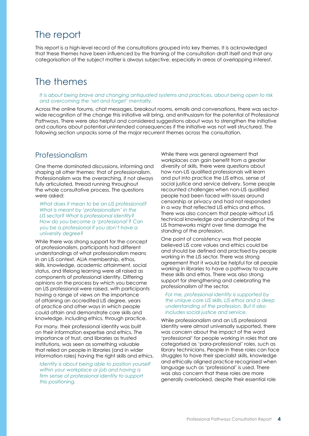# <span id="page-3-0"></span>The report

This report is a high-level record of the consultations grouped into key themes. It is acknowledged that these themes have been influenced by the framing of the consultation draft itself and that any categorisation of the subject matter is always subjective, especially in areas of overlapping interest.

# The themes

*It is about being brave and changing antiquated systems and practices, about being open to risk and overcoming the 'set and forget' mentality.*

Across the online forums, chat messages, breakout rooms, emails and conversations, there was sectorwide recognition of the change this initiative will bring, and enthusiasm for the potential of Professional Pathways. There were also helpful and considered suggestions about ways to strengthen the initiative and cautions about potential unintended consequences if the initiative was not well structured. The following section unpacks some of the major recurrent themes across the consultation.

### Professionalism

One theme dominated discussions, informing and shaping all other themes: that of professionalism. Professionalism was the overarching, if not always fully articulated, thread running throughout the whole consultative process. The questions were asked:

*What does it mean to be an LIS professional? What is meant by 'professionalism' in the LIS sector? What is professional identity? How do you become a 'professional'? Can you be a professional if you don't have a university degree?*

While there was strong support for the concept of professionalism, participants had different understandings of what professionalism means in an LIS context. ALIA membership, ethos, skills, knowledge, academic attainment, social status, and lifelong learning were all raised as components of professional identity. Differing opinions on the process by which you become an LIS professional were raised, with participants having a range of views on the importance of attaining an accredited LIS degree, years of practice and other ways in which people could attain and demonstrate core skills and knowledge, including ethics, through practice.

For many, their professional identity was built on their information expertise and ethics. The importance of trust, and libraries as trusted institutions, was seen as something valuable that relied on people in libraries (and in wider information roles) having the right skills and ethics.

*Identity is about being able to position yourself within your workplace or job and having a firm sense of professional identity to support this positioning.*

While there was general agreement that workplaces can gain benefit from a greater diversity of skills, there were questions about how non-LIS qualified professionals will learn and put into practice the LIS ethos, sense of social justice and service delivery. Some people recounted challenges when non-LIS qualified people had been faced with issues around censorship or privacy and had not responded in a way that reflected LIS ethics and ethos. There was also concern that people without LIS technical knowledge and understanding of the LIS frameworks might over time damage the standing of the profession.

One point of consistency was that people believed LIS core values and ethics could be and should be defined and practised by people working in the LIS sector. There was strong agreement that it would be helpful for all people working in libraries to have a pathway to acquire these skills and ethos. There was also strong support for strengthening and celebrating the professionalism of the sector.

#### *For me, professional identity is supported by the unique core LIS skills, LIS ethos and a deep understanding of the profession. But it also includes social justice and service.*

While professionalism and an LIS professional identity were almost universally supported, there was concern about the impact of the word 'professional' for people working in roles that are categorised as 'para-professional' roles, such as library technicians. People in these roles can face struggles to have their specialist skills, knowledge and ethically aligned practice recognised when language such as 'professional' is used. There was also concern that these roles are more generally overlooked, despite their essential role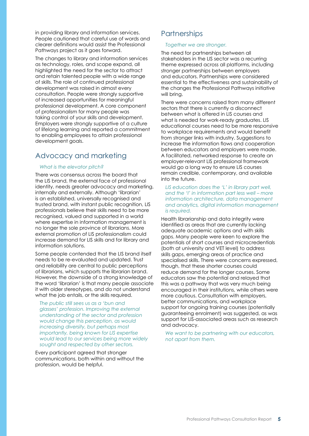<span id="page-4-0"></span>in providing library and information services. People cautioned that careful use of words and clearer definitions would assist the Professional Pathways project as it goes forward.

The changes to library and information services as technology, roles, and scope expand, all highlighted the need for the sector to attract and retain talented people with a wide range of skills. The role of continued professional development was raised in almost every consultation. People were strongly supportive of increased opportunities for meaningful professional development. A core component of professionalism for many people was taking control of your skills and development. Employers were strongly supportive of a culture of lifelong learning and reported a commitment to enabling employees to attain professional development goals.

## Advocacy and marketing

#### *What is the elevator pitch?*

There was consensus across the board that the LIS brand, the external face of professional identity, needs greater advocacy and marketing, internally and externally. Although 'librarian' is an established, universally recognised and trusted brand, with instant public recognition, LIS professionals believe their skills need to be more recognised, valued and supported in a world where expertise in information management is no longer the sole province of librarians. More external promotion of LIS professionalism could increase demand for LIS skills and for library and information solutions.

Some people contended that the LIS brand itself needs to be re-evaluated and updated. Trust and reliability are central to public perceptions of librarians, which supports the librarian brand. However, the downside of a strong knowledge of the word 'librarian' is that many people associate it with older stereotypes, and do not understand what the job entails, or the skills required.

*The public still sees us as a 'bun and glasses' profession. Improving the external understanding of the sector and profession would change this perception, as would increasing diversity, but perhaps most importantly, being known for LIS expertise would lead to our services being more widely sought and respected by other sectors.*

Every participant agreed that stronger communications, both within and without the profession, would be helpful.

## **Partnerships**

#### *Together we are stronger.*

The need for partnerships between all stakeholders in the LIS sector was a recurring theme expressed across all platforms, including stronger partnerships between employers and educators. Partnerships were considered essential to the effectiveness and sustainability of the changes the Professional Pathways initiative will bring.

There were concerns raised from many different sectors that there is currently a disconnect between what is offered in LIS courses and what is needed for work-ready graduates. LIS educational courses need to be more responsive to workplace requirements and would benefit from stronger links with industry. Suggestions to increase the information flows and cooperation between educators and employers were made. A facilitated, networked response to create an employer-relevant LIS professional framework would go a long way to ensure LIS courses remain credible, contemporary, and available into the future.

*LIS education does the 'L' in library part well, and the 'I' in information part less well – more information architecture, data management and analytics, digital information management is required.*

Health librarianship and data integrity were identified as areas that are currently lacking adequate academic options and with skills gaps. Many people were keen to explore the potentials of short courses and microcredentials (both at university and VET level) to address skills gaps, emerging areas of practice and specialised skills. There were concerns expressed, though, that these shorter courses could reduce demand for the longer courses. Some educators saw the potential and relayed that this was a pathway that was very much being encouraged in their institutions, while others were more cautious. Consultation with employers, better communications, and workplace support for ongoing training courses (potentially guaranteeing enrolment) was suggested, as was support for LIS-associated areas such as research and advocacy.

*We want to be partnering with our educators, not apart from them.*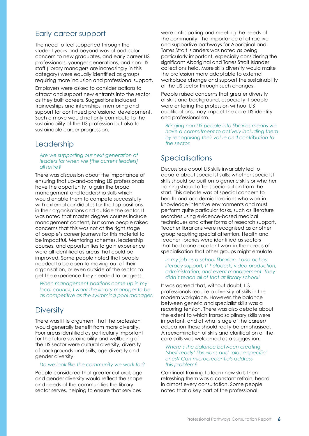### <span id="page-5-0"></span>Early career support

The need to feel supported through the student years and beyond was of particular concern to new graduates, and early career LIS professionals, younger generations, and non-LIS staff (library managers are increasingly in this category) were equally identified as groups requiring more inclusion and professional support.

Employers were asked to consider actions to attract and support new entrants into the sector as they built careers. Suggestions included traineeships and internships, mentoring and support for continued professional development. Such a move would not only contribute to the sustainability of the LIS profession but also to sustainable career progression.

### Leadership

#### *Are we supporting our next generation of leaders for when we [the current leaders] all retire?*

There was discussion about the importance of ensuring that up-and-coming LIS professionals have the opportunity to gain the broad management and leadership skills which would enable them to compete successfully with external candidates for the top positions in their organisations and outside the sector. It was noted that master degree courses include management content, but some people raised concerns that this was not at the right stage of people's career journeys for this material to be impactful. Mentoring schemes, leadership courses, and opportunities to gain experience were all identified as areas that could be improved. Some people noted that people needed to be open to moving out of their organisation, or even outside of the sector, to get the experience they needed to progress.

*When management positions come up in my local council, I want the library manager to be as competitive as the swimming pool manager.*

### **Diversity**

There was little argument that the profession would generally benefit from more diversity. Four areas identified as particularly important for the future sustainability and wellbeing of the LIS sector were cultural diversity, diversity of backgrounds and skills, age diversity and gender diversity.

#### *Do we look like the community we work for?*

People considered that greater cultural, age and gender diversity would reflect the shape and needs of the communities the library sector serves, helping to ensure that services

were anticipating and meeting the needs of the community. The importance of attractive and supportive pathways for Aboriginal and Torres Strait Islanders was noted as being particularly important, especially considering the significant Aboriginal and Torres Strait Islander collections held. More skills diversity would make the profession more adaptable to external workplace change and support the sustainability of the LIS sector through such changes.

People raised concerns that greater diversity of skills and background, especially if people were entering the profession without LIS qualifications, may impact the core LIS identity and professionalism.

*Bringing non-LIS people into libraries means we have a commitment to actively including them by recognising their value and contribution to the sector.*

### Specialisations

Discussions about LIS skills invariably led to debate about specialist skills: whether specialist skills should be built onto generic skills or whether training should offer specialisation from the start. This debate was of special concern to health and academic librarians who work in knowledge-intensive environments and must perform quite particular tasks, such as literature searches using evidence-based medical techniques and other forms of research support. Teacher librarians were recognised as another group requiring special attention. Health and teacher libraries were identified as sectors that had done excellent work in their areas of specialisation that other groups might emulate.

#### *In my job as a school librarian, I also act as literacy support, IT helpdesk, video production, administration, and event management. They didn't teach all of that at library school!*

It was agreed that, without doubt, LIS professionals require a diversity of skills in the modern workplace. However, the balance between generic and specialist skills was a recurring tension. There was also debate about the extent to which transdisciplinary skills were important, and at what stage of the career/ education these should really be emphasised. A reexamination of skills and clarification of the core skills was welcomed as a suggestion.

#### *Where's the balance between creating 'shelf-ready' librarians and 'place-specific' ones? Can microcredentials address this problem?*

Continual training to learn new skills then refreshing them was a constant refrain, heard in almost every consultation. Some people noted that a key part of the professional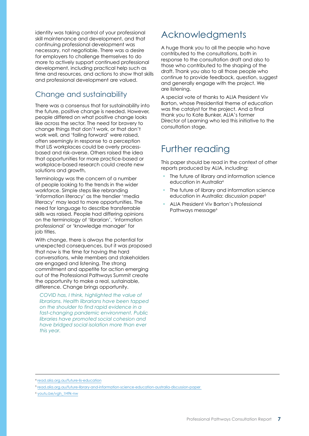<span id="page-6-0"></span>identity was taking control of your professional skill maintenance and development, and that continuing professional development was necessary, not negotiable. There was a desire for employers to challenge themselves to do more to actively support continued professional development, including practical help such as time and resources, and actions to show that skills and professional development are valued.

### Change and sustainability

There was a consensus that for sustainability into the future, positive change is needed. However, people differed on what positive change looks like across the sector. The need for bravery to change things that don't work, or that don't work well, and 'failing forward' were raised, often seemingly in response to a perception that LIS workplaces could be overly processbased and risk-averse. Others raised the idea that opportunities for more practice-based or workplace-based research could create new solutions and growth,

Terminology was the concern of a number of people looking to the trends in the wider workforce. Simple steps like rebranding 'information literacy' as the trendier 'media literacy' may lead to more opportunities. The need for language to describe transferrable skills was raised. People had differing opinions on the terminology of 'librarian', 'information professional' or 'knowledge manager' for job titles.

With change, there is always the potential for unexpected consequences, but it was proposed that now is the time for having the hard conversations, while members and stakeholders are engaged and listening. The strong commitment and appetite for action emerging out of the Professional Pathways Summit create the opportunity to make a real, sustainable, difference. Change brings opportunity.

*COVID has, I think, highlighted the value of librarians. Health librarians have been tapped on the shoulder to find rapid evidence in a fast-changing pandemic environment. Public libraries have promoted social cohesion and have bridged social isolation more than ever this year.*

# Acknowledgments

A huge thank you to all the people who have contributed to the consultations, both in response to the consultation draft and also to those who contributed to the shaping of the draft. Thank you also to all those people who continue to provide feedback, question, suggest and generally engage with the project. We are listening.

A special vote of thanks to ALIA President Viv Barton, whose Presidential theme of education was the catalyst for the project. And a final thank you to Kate Bunker, ALIA's former Director of Learning who led this initiative to the consultation stage.

# Further reading

This paper should be read in the context of other reports produced by ALIA, including:

- The future of library and information science education in Australia4
- The future of library and information science education in Australia: discussion paper<sup>5</sup>
- ALIA President Viv Barton's Professional Pathways message<sup>6</sup>

<sup>4</sup> [read.alia.org.au/future-lis-education](http://read.alia.org.au/future-lis-education)

<sup>5</sup> [read.alia.org.au/future-library-and-information-science-education-australia-discussion-paper](http://read.alia.org.au/future-library-and-information-science-education-australia-discussion-paper) 

<sup>6</sup> [youtu.be/vgh\\_1H9k-nw](https://www.youtube.com/watch?v=vgh_1H9k-nw)